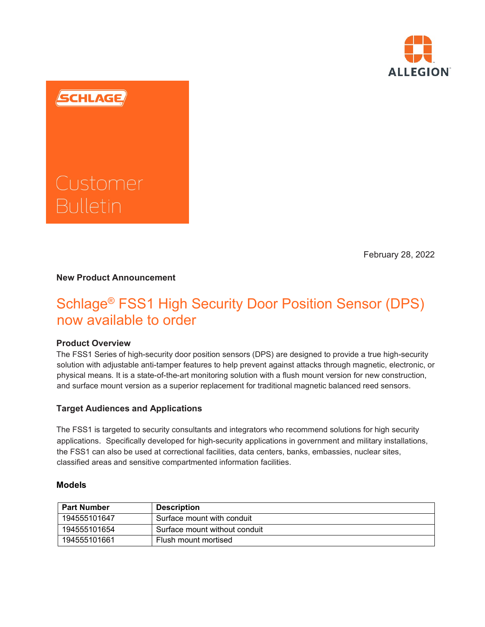

SCHLAGE

# Customer

February 28, 2022

# **New Product Announcement**

# Schlage® FSS1 High Security Door Position Sensor (DPS) now available to order

## **Product Overview**

The FSS1 Series of high-security door position sensors (DPS) are designed to provide a true high-security solution with adjustable anti-tamper features to help prevent against attacks through magnetic, electronic, or physical means. It is a state-of-the-art monitoring solution with a flush mount version for new construction, and surface mount version as a superior replacement for traditional magnetic balanced reed sensors.

# **Target Audiences and Applications**

The FSS1 is targeted to security consultants and integrators who recommend solutions for high security applications. Specifically developed for high-security applications in government and military installations, the FSS1 can also be used at correctional facilities, data centers, banks, embassies, nuclear sites, classified areas and sensitive compartmented information facilities.

## **Models**

| <b>Part Number</b> | <b>Description</b>            |
|--------------------|-------------------------------|
| 194555101647       | Surface mount with conduit    |
| 194555101654       | Surface mount without conduit |
| 194555101661       | Flush mount mortised          |